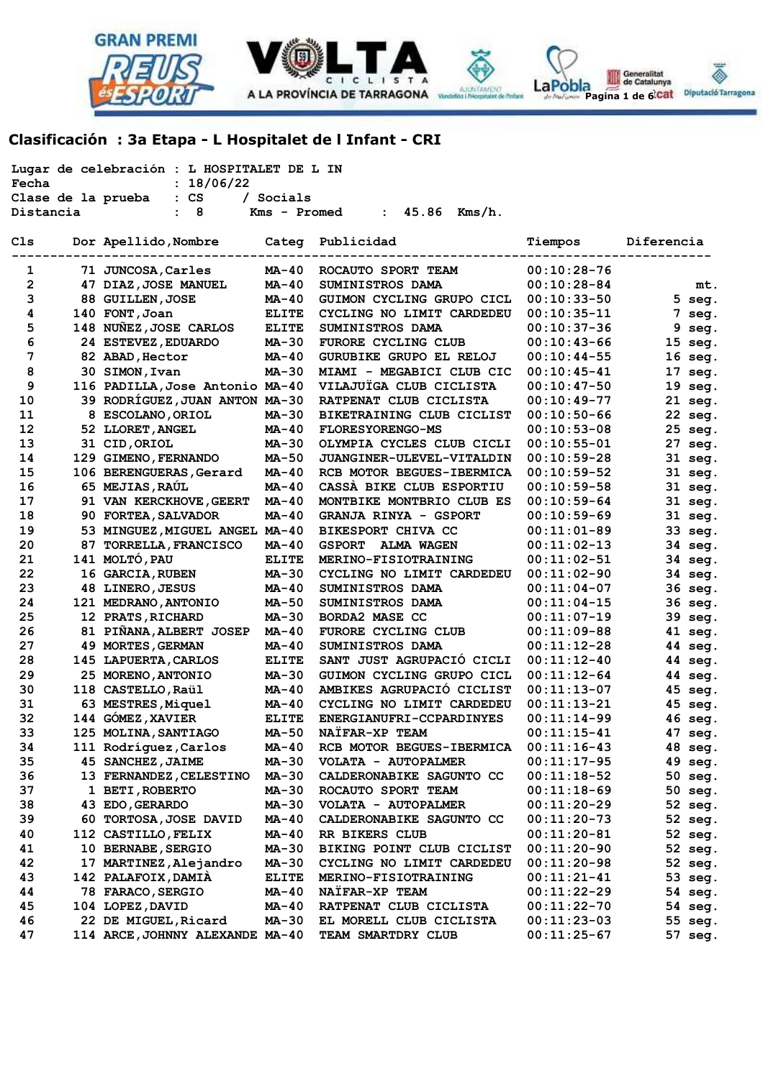



Generalitat<br>
de Catalunya LaPobla Pagina 1 de 6<sup>1</sup>Cat Diputació Tarragona

# **Clasificación : 3a Etapa - L Hospitalet de l Infant - CRI**

| Lugar de celebración : L HOSPITALET DE L IN<br>: 18/06/22<br>Fecha |                                                                  |                                 |              |                                    |               |            |  |  |  |
|--------------------------------------------------------------------|------------------------------------------------------------------|---------------------------------|--------------|------------------------------------|---------------|------------|--|--|--|
|                                                                    | $: \mathbb{C}S$<br>Clase de la prueba<br>/ Socials               |                                 |              |                                    |               |            |  |  |  |
|                                                                    | 8<br>$45.86$ Kms/h.<br>Distancia<br>Kms - Promed<br>$\mathbf{L}$ |                                 |              |                                    |               |            |  |  |  |
| Cls                                                                |                                                                  | Dor Apellido, Nombre            | Categ        | Publicidad                         | Tiempos       | Diferencia |  |  |  |
| 1                                                                  |                                                                  | 71 JUNCOSA, Carles              | MA-40        | ROCAUTO SPORT TEAM                 | $00:10:28-76$ |            |  |  |  |
| 2                                                                  |                                                                  | 47 DIAZ, JOSE MANUEL            | $MA-40$      | SUMINISTROS DAMA                   | $00:10:28-84$ | mt.        |  |  |  |
| 3                                                                  |                                                                  | 88 GUILLEN, JOSE                | <b>MA-40</b> | GUIMON CYCLING GRUPO CICL          | $00:10:33-50$ | $5$ seg.   |  |  |  |
| 4                                                                  |                                                                  | 140 FONT, Joan                  | <b>ELITE</b> | CYCLING NO LIMIT CARDEDEU          | $00:10:35-11$ | 7<br>seg.  |  |  |  |
| 5                                                                  |                                                                  | 148 NUNEZ, JOSE CARLOS          | <b>ELITE</b> | SUMINISTROS DAMA                   | $00:10:37-36$ | 9 seg.     |  |  |  |
| 6                                                                  |                                                                  | 24 ESTEVEZ, EDUARDO             | <b>MA-30</b> | FURORE CYCLING CLUB                | $00:10:43-66$ | $15$ seg.  |  |  |  |
| 7                                                                  |                                                                  | 82 ABAD, Hector                 | <b>MA-40</b> | GURUBIKE GRUPO EL RELOJ            | $00:10:44-55$ | 16 seg.    |  |  |  |
| 8                                                                  |                                                                  | 30 SIMON, Ivan                  | <b>MA-30</b> | MIAMI - MEGABICI CLUB CIC          | $00:10:45-41$ | 17 seg.    |  |  |  |
| 9                                                                  |                                                                  | 116 PADILLA, Jose Antonio MA-40 |              | VILAJUÏGA CLUB CICLISTA            | $00:10:47-50$ | 19 seg.    |  |  |  |
| 10                                                                 |                                                                  | 39 RODRÍGUEZ, JUAN ANTON MA-30  |              | RATPENAT CLUB CICLISTA             | $00:10:49-77$ | 21 seg.    |  |  |  |
| 11                                                                 |                                                                  | 8 ESCOLANO, ORIOL               | <b>MA-30</b> | BIKETRAINING CLUB CICLIST          | $00:10:50-66$ | 22 seg.    |  |  |  |
| 12                                                                 |                                                                  | 52 LLORET, ANGEL                | $MA-40$      | <b>FLORESYORENGO-MS</b>            | $00:10:53-08$ | 25 seg.    |  |  |  |
| 13                                                                 |                                                                  | 31 CID, ORIOL                   | <b>MA-30</b> | OLYMPIA CYCLES CLUB CICLI          | $00:10:55-01$ | 27<br>seg. |  |  |  |
| 14                                                                 |                                                                  | 129 GIMENO, FERNANDO            | <b>MA-50</b> | <b>JUANGINER-ULEVEL-VITALDIN</b>   | $00:10:59-28$ | 31 seg.    |  |  |  |
| 15                                                                 |                                                                  | 106 BERENGUERAS, Gerard         | $MA-40$      | RCB MOTOR BEGUES-IBERMICA          | $00:10:59-52$ | 31 seg.    |  |  |  |
| 16                                                                 |                                                                  | 65 MEJIAS, RAÚL                 | MA-40        | CASSA BIKE CLUB ESPORTIU           | $00:10:59-58$ | 31 seg.    |  |  |  |
| 17                                                                 |                                                                  | 91 VAN KERCKHOVE, GEERT         | <b>MA-40</b> | MONTBIKE MONTBRIO CLUB ES          | $00:10:59-64$ | 31 seg.    |  |  |  |
| 18                                                                 |                                                                  | 90 FORTEA, SALVADOR             | $MA-40$      | <b>GRANJA RINYA - GSPORT</b>       | $00:10:59-69$ | 31 seg.    |  |  |  |
| 19                                                                 |                                                                  | 53 MINGUEZ, MIGUEL ANGEL MA-40  |              | BIKESPORT CHIVA CC                 | $00:11:01-89$ | 33 seg.    |  |  |  |
| 20                                                                 |                                                                  | 87 TORRELLA, FRANCISCO          | MA-40        | <b>GSPORT</b><br><b>ALMA WAGEN</b> | $00:11:02-13$ | 34 seg.    |  |  |  |
| 21                                                                 |                                                                  | 141 MOLTO, PAU                  | <b>ELITE</b> | MERINO-FISIOTRAINING               | $00:11:02-51$ | 34 seg.    |  |  |  |
| 22                                                                 |                                                                  | 16 GARCIA, RUBEN                | <b>MA-30</b> | CYCLING NO LIMIT CARDEDEU          | $00:11:02-90$ | 34 seg.    |  |  |  |
| 23                                                                 |                                                                  | 48 LINERO, JESUS                | MA-40        | <b>SUMINISTROS DAMA</b>            | $00:11:04-07$ | 36 seg.    |  |  |  |
| 24                                                                 |                                                                  | 121 MEDRANO, ANTONIO            | <b>MA-50</b> | <b>SUMINISTROS DAMA</b>            | $00:11:04-15$ | 36 seg.    |  |  |  |
| 25                                                                 |                                                                  | 12 PRATS, RICHARD               | <b>MA-30</b> | BORDA2 MASE CC                     | $00:11:07-19$ | 39 seg.    |  |  |  |
| 26                                                                 |                                                                  | 81 PINANA, ALBERT JOSEP         | MA-40        | FURORE CYCLING CLUB                | $00:11:09-88$ | 41 seg.    |  |  |  |
| 27                                                                 |                                                                  | <b>49 MORTES, GERMAN</b>        | MA-40        | SUMINISTROS DAMA                   | $00:11:12-28$ | 44 seg.    |  |  |  |
| 28                                                                 |                                                                  | 145 LAPUERTA, CARLOS            | <b>ELITE</b> | SANT JUST AGRUPACIO CICLI          | $00:11:12-40$ | 44 seg.    |  |  |  |
| 29                                                                 |                                                                  | 25 MORENO, ANTONIO              | MA-30        | GUIMON CYCLING GRUPO CICL          | $00:11:12-64$ | 44 seg.    |  |  |  |
| 30                                                                 |                                                                  | 118 CASTELLO, Raül              | $MA-40$      | AMBIKES AGRUPACIÓ CICLIST          | $00:11:13-07$ | 45 seg.    |  |  |  |
| 31                                                                 |                                                                  | 63 MESTRES, Miquel              | MA-40        | CYCLING NO LIMIT CARDEDEU          | $00:11:13-21$ | 45 seg.    |  |  |  |
| 32                                                                 |                                                                  | 144 GOMEZ, XAVIER               | <b>ELITE</b> | <b>ENERGIANUFRI-CCPARDINYES</b>    | $00:11:14-99$ | 46 seg.    |  |  |  |
| 33                                                                 |                                                                  | 125 MOLINA, SANTIAGO            | MA-50        | NAÏFAR-XP TEAM                     | $00:11:15-41$ | 47 seg.    |  |  |  |
| 34                                                                 |                                                                  | 111 Rodríguez, Carlos           | MA-40        | RCB MOTOR BEGUES-IBERMICA          | $00:11:16-43$ | 48 seg.    |  |  |  |
| 35                                                                 |                                                                  | 45 SANCHEZ, JAIME               | MA-30        | VOLATA - AUTOPALMER                | $00:11:17-95$ | 49 seg.    |  |  |  |
| 36                                                                 |                                                                  | 13 FERNANDEZ, CELESTINO         | MA-30        | CALDERONABIKE SAGUNTO CC           | $00:11:18-52$ | 50 seg.    |  |  |  |
| 37                                                                 |                                                                  | 1 BETI, ROBERTO                 | MA-30        | ROCAUTO SPORT TEAM                 | $00:11:18-69$ | 50 seg.    |  |  |  |
| 38                                                                 |                                                                  | 43 EDO, GERARDO                 | MA-30        | VOLATA - AUTOPALMER                | $00:11:20-29$ | 52 seg.    |  |  |  |
| 39                                                                 |                                                                  | 60 TORTOSA, JOSE DAVID          | MA-40        | CALDERONABIKE SAGUNTO CC           | $00:11:20-73$ | 52 seg.    |  |  |  |
| 40                                                                 |                                                                  | 112 CASTILLO, FELIX             | MA-40        | RR BIKERS CLUB                     | $00:11:20-81$ | 52 seg.    |  |  |  |
| 41                                                                 |                                                                  | 10 BERNABE, SERGIO              | MA-30        | BIKING POINT CLUB CICLIST          | $00:11:20-90$ | 52 seg.    |  |  |  |
| 42                                                                 |                                                                  | 17 MARTINEZ, Alejandro          | MA-30        | CYCLING NO LIMIT CARDEDEU          | $00:11:20-98$ | 52 seg.    |  |  |  |
| 43                                                                 |                                                                  | 142 PALAFOIX, DAMIA             | <b>ELITE</b> | MERINO-FISIOTRAINING               | $00:11:21-41$ | 53 seg.    |  |  |  |
| 44                                                                 |                                                                  | 78 FARACO, SERGIO               | MA-40        | NAÏFAR-XP TEAM                     | $00:11:22-29$ | 54 seg.    |  |  |  |
| 45                                                                 |                                                                  | 104 LOPEZ, DAVID                | MA-40        | RATPENAT CLUB CICLISTA             | $00:11:22-70$ | 54 seg.    |  |  |  |
| 46                                                                 |                                                                  | 22 DE MIGUEL, Ricard            | MA-30        | EL MORELL CLUB CICLISTA            | $00:11:23-03$ | 55 seg.    |  |  |  |
| 47                                                                 |                                                                  | 114 ARCE, JOHNNY ALEXANDE MA-40 |              | TEAM SMARTDRY CLUB                 | $00:11:25-67$ | 57 seg.    |  |  |  |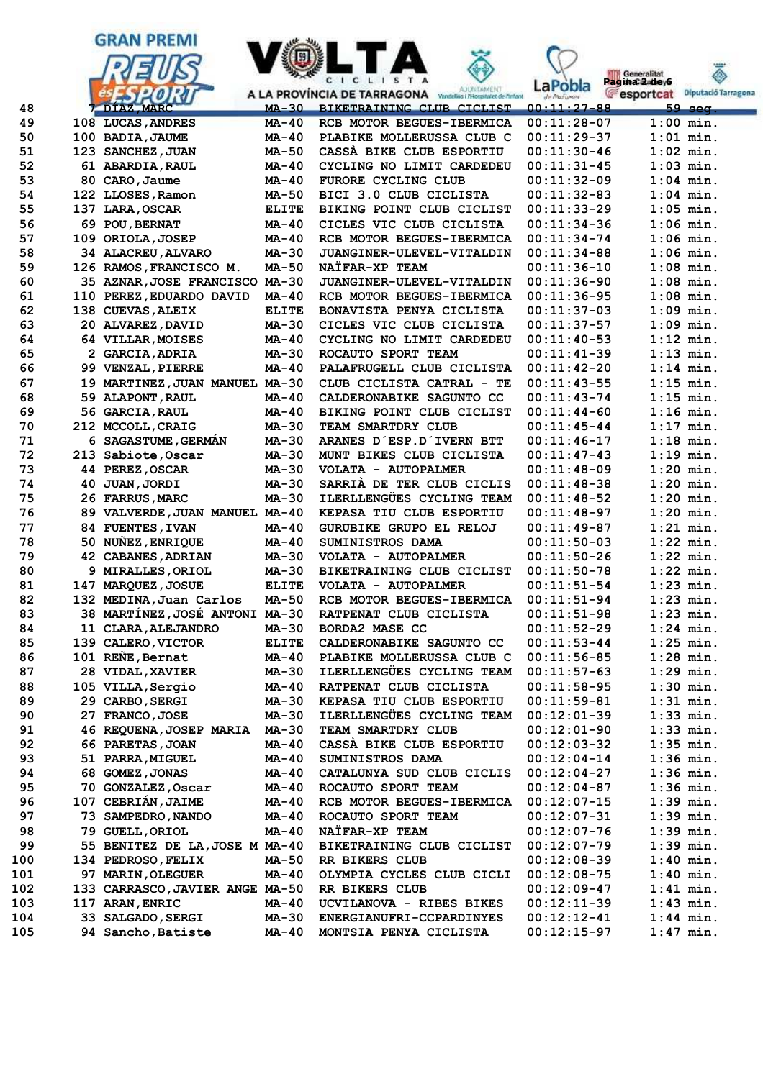



۵

| 49         |    | 108 LUCAS, ANDRES                    | $MA-40$      | RCB MOTOR BEGUES-IBERMICA                  | $00:11:28-07$                  | $1:00$ min.                |
|------------|----|--------------------------------------|--------------|--------------------------------------------|--------------------------------|----------------------------|
| 50         |    | 100 BADIA, JAUME                     | MA-40        | PLABIKE MOLLERUSSA CLUB C                  | $00:11:29-37$                  | $1:01$ min.                |
| 51         |    | 123 SANCHEZ, JUAN                    | $MA-50$      | CASSA BIKE CLUB ESPORTIU                   | $00:11:30-46$                  | $1:02$ min.                |
| 52         |    | 61 ABARDIA, RAUL                     | <b>MA-40</b> | CYCLING NO LIMIT CARDEDEU                  | $00:11:31-45$                  | $1:03$ min.                |
| 53         |    | 80 CARO, Jaume                       | <b>MA-40</b> | FURORE CYCLING CLUB                        | $00:11:32-09$                  | $1:04$ min.                |
| 54         |    | 122 LLOSES, Ramon                    | <b>MA-50</b> | BICI 3.0 CLUB CICLISTA                     | $00:11:32-83$                  | $1:04$ min.                |
| 55         |    | 137 LARA, OSCAR                      | <b>ELITE</b> | BIKING POINT CLUB CICLIST                  | $00:11:33-29$                  | $1:05$ min.                |
| 56         |    | 69 POU, BERNAT                       | $MA-40$      | CICLES VIC CLUB CICLISTA                   | $00:11:34-36$                  | $1:06$ min.                |
| 57         |    | 109 ORIOLA, JOSEP                    | $MA-40$      | RCB MOTOR BEGUES-IBERMICA                  | $00:11:34-74$                  | $1:06$ min.                |
| 58         |    | 34 ALACREU, ALVARO                   | <b>MA-30</b> | JUANGINER-ULEVEL-VITALDIN                  | $00:11:34-88$                  | $1:06$ min.                |
| 59         |    | 126 RAMOS, FRANCISCO M.              | <b>MA-50</b> | NATFAR-XP TEAM                             | $00:11:36-10$                  | $1:08$ min.                |
| 60         |    | 35 AZNAR, JOSE FRANCISCO MA-30       |              | JUANGINER-ULEVEL-VITALDIN                  | $00:11:36-90$                  | $1:08$ min.                |
| 61         |    | 110 PEREZ, EDUARDO DAVID             | $MA-40$      | RCB MOTOR BEGUES-IBERMICA                  | $00:11:36-95$                  | $1:08$ min.                |
| 62         |    | 138 CUEVAS, ALEIX                    | <b>ELITE</b> | BONAVISTA PENYA CICLISTA                   | $00:11:37-03$                  | $1:09$ min.                |
| 63         |    | 20 ALVAREZ, DAVID                    | MA-30        | CICLES VIC CLUB CICLISTA                   | $00:11:37-57$                  | $1:09$ min.                |
| 64         |    | 64 VILLAR, MOISES                    | $MA-40$      | CYCLING NO LIMIT CARDEDEU                  | $00:11:40-53$                  | $1:12$ min.                |
| 65         |    | 2 GARCIA, ADRIA                      | MA-30        | ROCAUTO SPORT TEAM                         | $00:11:41-39$                  | $1:13$ min.                |
| 66         |    | 99 VENZAL, PIERRE                    | <b>MA-40</b> | PALAFRUGELL CLUB CICLISTA                  | $00:11:42-20$                  | $1:14$ min.                |
| 67         |    | 19 MARTINEZ, JUAN MANUEL MA-30       |              | CLUB CICLISTA CATRAL - TE                  | $00:11:43-55$                  | $1:15$ min.                |
| 68         |    | 59 ALAPONT, RAUL                     | $MA-40$      | CALDERONABIKE SAGUNTO CC                   | $00:11:43-74$                  | $1:15$ min.                |
| 69         |    | 56 GARCIA, RAUL                      | $MA-40$      | BIKING POINT CLUB CICLIST                  | $00:11:44-60$                  | $1:16$ min.                |
| 70         |    | 212 MCCOLL, CRAIG                    | <b>MA-30</b> | TEAM SMARTDRY CLUB                         | $00:11:45-44$                  | $1:17$ min.                |
| 71         |    | 6 SAGASTUME, GERMAN                  | <b>MA-30</b> | ARANES D'ESP. D'IVERN BTT                  | $00:11:46-17$                  | $1:18$ min.                |
| 72         |    | 213 Sabiote, Oscar                   | MA-30        | MUNT BIKES CLUB CICLISTA                   | $00:11:47-43$                  | $1:19$ min.                |
| 73         |    | 44 PEREZ, OSCAR                      | MA-30        | VOLATA - AUTOPALMER                        | $00:11:48-09$                  | $1:20$ min.                |
| 74         | 40 | <b>JUAN, JORDI</b>                   | $MA-30$      | SARRIA DE TER CLUB CICLIS                  | $00:11:48-38$                  | $1:20$ min.                |
| 75         |    | 26 FARRUS, MARC                      | MA-30        | ILERLLENGÜES CYCLING TEAM                  | $00:11:48-52$                  | $1:20$ min.                |
| 76         |    | 89 VALVERDE, JUAN MANUEL MA-40       |              | KEPASA TIU CLUB ESPORTIU                   | $00:11:48-97$                  | $1:20$ min.                |
| 77         |    | 84 FUENTES, IVAN                     | <b>MA-40</b> | GURUBIKE GRUPO EL RELOJ                    | $00:11:49-87$                  | $1:21$ min.                |
| 78         |    | 50 NUÑEZ, ENRIQUE                    | <b>MA-40</b> | SUMINISTROS DAMA                           | $00:11:50-03$                  | $1:22$ min.                |
| 79         |    | 42 CABANES, ADRIAN                   | <b>MA-30</b> | VOLATA - AUTOPALMER                        | $00:11:50-26$                  | $1:22$ min.                |
| 80         |    | 9 MIRALLES, ORIOL                    | <b>MA-30</b> | BIKETRAINING CLUB CICLIST                  | $00:11:50-78$                  | $1:22$ min.                |
| 81         |    | 147 MARQUEZ, JOSUE                   | <b>ELITE</b> | VOLATA - AUTOPALMER                        | $00:11:51-54$                  | $1:23$ min.                |
| 82         |    | 132 MEDINA, Juan Carlos              | <b>MA-50</b> | RCB MOTOR BEGUES-IBERMICA                  | $00:11:51-94$                  | $1:23$ min.                |
| 83         |    | 38 MARTÍNEZ, JOSÉ ANTONI MA-30       |              | RATPENAT CLUB CICLISTA                     | $00:11:51-98$                  | $1:23$ min.                |
| 84         |    | 11 CLARA, ALEJANDRO                  | $MA-30$      | <b>BORDA2 MASE CC</b>                      | $00:11:52-29$                  | $1:24$ min.                |
| 85         |    | 139 CALERO, VICTOR                   | <b>ELITE</b> | CALDERONABIKE SAGUNTO CC                   | $00:11:53-44$                  | $1:25$ min.                |
| 86         |    | 101 REÑE, Bernat                     | <b>MA-40</b> | PLABIKE MOLLERUSSA CLUB C                  | $00:11:56-85$                  | $1:28$ min.                |
| 87         |    | 28 VIDAL, XAVIER                     | <b>MA-30</b> | ILERLLENGÜES CYCLING TEAM                  | $00:11:57-63$                  | $1:29$ min.                |
| 88         |    | 105 VILLA, Sergio                    | $MA-40$      | RATPENAT CLUB CICLISTA                     | $00:11:58-95$                  | $1:30$ min.                |
| 89         |    | 29 CARBO, SERGI                      | MA-30        | KEPASA TIU CLUB ESPORTIU                   | $00:11:59-81$                  | $1:31$ min.                |
| 90         |    | 27 FRANCO, JOSE                      | <b>MA-30</b> | ILERLLENGÜES CYCLING TEAM                  | $00:12:01-39$                  | $1:33$ min.                |
| 91         |    | 46 REQUENA, JOSEP MARIA MA-30        |              | TEAM SMARTDRY CLUB                         | $00:12:01-90$                  | $1:33$ min.                |
| 92         |    | 66 PARETAS, JOAN                     | <b>MA-40</b> | CASSA BIKE CLUB ESPORTIU                   | $00:12:03-32$                  | $1:35$ min.                |
| 93         |    | 51 PARRA, MIGUEL                     | MA-40        | SUMINISTROS DAMA                           | $00:12:04-14$                  | $1:36$ min.                |
| 94         |    | 68 GOMEZ, JONAS                      | MA-40        | CATALUNYA SUD CLUB CICLIS                  | $00:12:04-27$                  | $1:36$ min.                |
| 95         |    | 70 GONZALEZ, Oscar                   | MA-40        | ROCAUTO SPORT TEAM                         | $00:12:04-87$                  | $1:36$ min.                |
| 96         |    | 107 CEBRIAN, JAIME                   | MA-40        | RCB MOTOR BEGUES-IBERMICA                  | $00:12:07-15$                  | $1:39$ min.                |
| 97         |    | 73 SAMPEDRO, NANDO                   | <b>MA-40</b> | ROCAUTO SPORT TEAM                         | $00:12:07-31$                  | $1:39$ min.                |
| 98         |    | 79 GUELL, ORIOL                      | MA-40        | NAÏFAR-XP TEAM                             | $00:12:07-76$                  | $1:39$ min.                |
| 99         |    | 55 BENITEZ DE LA, JOSE M MA-40       |              | BIKETRAINING CLUB CICLIST                  | $00:12:07-79$                  | $1:39$ min.                |
| 100        |    | 134 PEDROSO, FELIX                   | MA-50        | RR BIKERS CLUB                             | $00:12:08-39$                  | $1:40$ min.                |
| 101        |    | 97 MARIN, OLEGUER                    | MA-40        | OLYMPIA CYCLES CLUB CICLI                  | $00:12:08-75$                  | $1:40$ min.                |
| 102<br>103 |    | 133 CARRASCO, JAVIER ANGE MA-50      | MA-40        | RR BIKERS CLUB<br>UCVILANOVA - RIBES BIKES | $00:12:09-47$<br>$00:12:11-39$ | $1:41$ min.<br>$1:43$ min. |
| 104        |    | 117 ARAN, ENRIC<br>33 SALGADO, SERGI | MA-30        | ENERGIANUFRI-CCPARDINYES                   | $00:12:12-41$                  | $1:44$ min.                |
| 105        |    | 94 Sancho, Batiste                   | MA-40        | MONTSIA PENYA CICLISTA                     | $00:12:15-97$                  | $1:47$ min.                |
|            |    |                                      |              |                                            |                                |                            |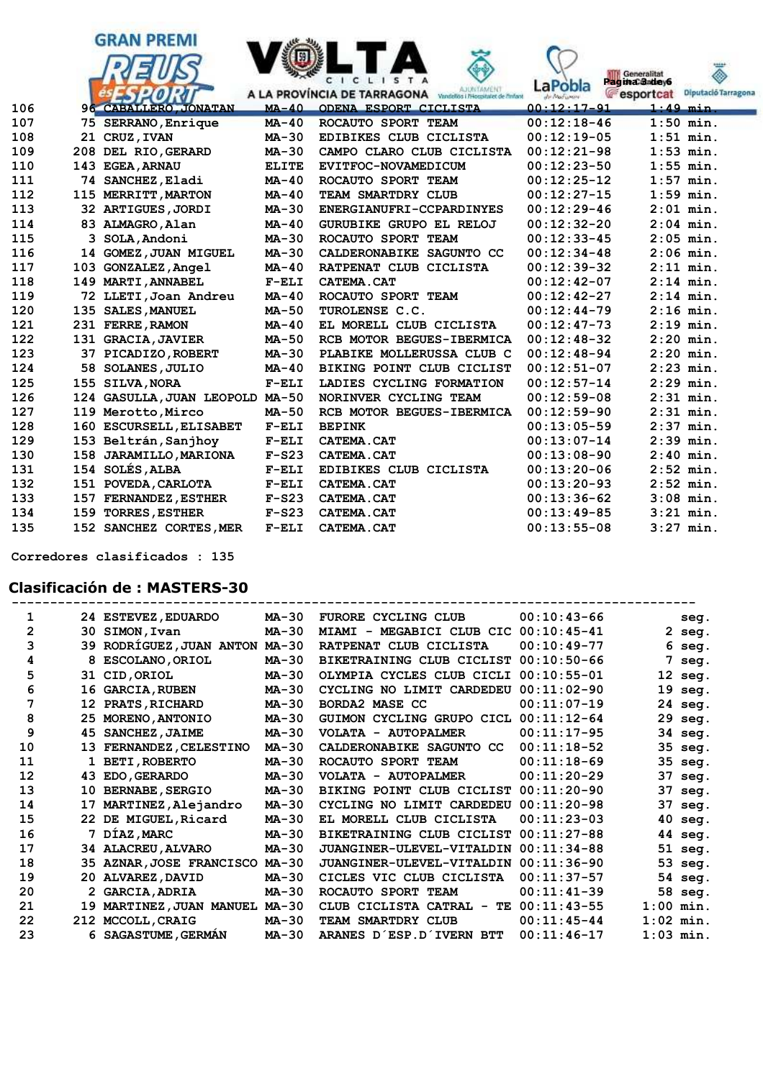|            |    | <b>GRAN PREMI</b>                    |                    | CICLISTA<br>AJUNTAMENT                                             | LaPobla                     | *****<br>Generalitat<br>Pagina Sadev6 |
|------------|----|--------------------------------------|--------------------|--------------------------------------------------------------------|-----------------------------|---------------------------------------|
|            |    |                                      |                    | A LA PROVÍNCIA DE TARRAGONA<br>Vandelios i PHospitalet de l'infant | de Modumen<br>$00:12:17-91$ | esportcat<br>Diputació Tarragona      |
| 106<br>107 |    | <b>96 CABALLERO, JONATAN</b>         | $MA-40$<br>$MA-40$ | ODENA ESPORT CICLISTA<br>ROCAUTO SPORT TEAM                        | $00:12:18-46$               | $1:49$ min.<br>$1:50$ min.            |
| 108        |    | 75 SERRANO, Enrique<br>21 CRUZ, IVAN | $MA-30$            | EDIBIKES CLUB CICLISTA                                             | $00:12:19-05$               | $1:51$ min.                           |
| 109        |    | 208 DEL RIO, GERARD                  | $MA-30$            | CAMPO CLARO CLUB CICLISTA                                          | $00:12:21-98$               | $1:53$ min.                           |
| 110        |    | 143 EGEA, ARNAU                      | <b>ELITE</b>       | EVITFOC-NOVAMEDICUM                                                | $00:12:23-50$               | $1:55$ min.                           |
| 111        |    | 74 SANCHEZ, Eladi                    | $MA-40$            | ROCAUTO SPORT TEAM                                                 | $00:12:25-12$               | $1:57$ min.                           |
| 112        |    | 115 MERRITT, MARTON                  | $MA-40$            | TEAM SMARTDRY CLUB                                                 | $00:12:27-15$               | $1:59$ min.                           |
| 113        |    | 32 ARTIGUES, JORDI                   | $MA-30$            | ENERGIANUFRI-CCPARDINYES                                           | $00:12:29-46$               | $2:01$ min.                           |
| 114        |    | 83 ALMAGRO, Alan                     | $MA-40$            | GURUBIKE GRUPO EL RELOJ                                            | $00:12:32-20$               | $2:04$ min.                           |
| 115        |    | 3 SOLA, Andoni                       | $MA-30$            | ROCAUTO SPORT TEAM                                                 | $00:12:33-45$               | $2:05$ min.                           |
| 116        |    | 14 GOMEZ, JUAN MIGUEL                | $MA-30$            | CALDERONABIKE SAGUNTO CC                                           | $00:12:34-48$               | $2:06$ min.                           |
| 117        |    | 103 GONZALEZ, Angel                  | $MA-40$            | RATPENAT CLUB CICLISTA                                             | $00:12:39-32$               | $2:11$ min.                           |
| 118        |    | 149 MARTI, ANNABEL                   | $F-ELI$            | CATEMA.CAT                                                         | $00:12:42-07$               | $2:14$ min.                           |
| 119        |    | 72 LLETI, Joan Andreu                | $MA-40$            | ROCAUTO SPORT TEAM                                                 | $00:12:42-27$               | $2:14$ min.                           |
| 120        |    | 135 SALES, MANUEL                    | $MA-50$            | TUROLENSE C.C.                                                     | $00:12:44-79$               | $2:16$ min.                           |
| 121        |    | 231 FERRE, RAMON                     | $MA-40$            | EL MORELL CLUB CICLISTA                                            | $00:12:47-73$               | $2:19$ min.                           |
| 122        |    | 131 GRACIA, JAVIER                   | MA-50              | RCB MOTOR BEGUES-IBERMICA                                          | $00:12:48-32$               | $2:20$ min.                           |
| 123        |    | 37 PICADIZO, ROBERT                  | $MA-30$            | PLABIKE MOLLERUSSA CLUB C                                          | $00:12:48-94$               | $2:20$ min.                           |
| 124        | 58 | SOLANES, JULIO                       | $MA-40$            | BIKING POINT CLUB CICLIST                                          | $00:12:51-07$               | $2:23$ min.                           |
| 125        |    | 155 SILVA, NORA                      | $F-ELI$            | LADIES CYCLING FORMATION                                           | $00:12:57-14$               | $2:29$ min.                           |
| 126        |    | 124 GASULLA, JUAN LEOPOLD            | MA-50              | NORINVER CYCLING TEAM                                              | $00:12:59-08$               | $2:31$ min.                           |
| 127        |    | 119 Merotto, Mirco                   | MA-50              | RCB MOTOR BEGUES-IBERMICA                                          | $00:12:59-90$               | $2:31$ min.                           |
| 128        |    | 160 ESCURSELL, ELISABET              | $F-ELI$            | <b>BEPINK</b>                                                      | $00:13:05-59$               | $2:37$ min.                           |
| 129        |    | 153 Beltrán, Sanjhoy                 | $F-ELI$            | CATEMA.CAT                                                         | $00:13:07-14$               | $2:39$ min.                           |
| 130        |    | 158 JARAMILLO, MARIONA               | $F-S23$            | CATEMA.CAT                                                         | $00:13:08-90$               | $2:40$ min.                           |
| 131        |    | 154 SOLÉS, ALBA                      | $F-ELI$            | EDIBIKES CLUB CICLISTA                                             | $00:13:20-06$               | $2:52$ min.                           |
| 132        |    | 151 POVEDA, CARLOTA                  | $F-ELI$            | CATEMA.CAT                                                         | $00:13:20-93$               | $2:52$ min.                           |
| 133        |    | 157 FERNANDEZ, ESTHER                | $F-S23$            | CATEMA.CAT                                                         | $00:13:36-62$               | $3:08$ min.                           |
| 134        |    | 159 TORRES, ESTHER                   | $F-S23$            | CATEMA.CAT                                                         | $00:13:49-85$               | $3:21$ min.                           |
| 135        |    | 152 SANCHEZ CORTES, MER              | $F-ELI$            | CATEMA.CAT                                                         | $00:13:55-08$               | $3:27$ min.                           |

 **Corredores clasificados : 135**

## **Clasificación de : MASTERS-30**

| 1  |    | 24 ESTEVEZ, EDUARDO      | <b>MA-30</b> | FURORE CYCLING CLUB                   | $00:10:43-66$  |    | seg.        |
|----|----|--------------------------|--------------|---------------------------------------|----------------|----|-------------|
| 2  |    | 30 SIMON, Ivan           | <b>MA-30</b> | MIAMI - MEGABICI CLUB CIC 00:10:45-41 |                |    | $2$ seg.    |
| 3  |    | 39 RODRÍGUEZ, JUAN ANTON | <b>MA-30</b> | RATPENAT CLUB CICLISTA                | $00:10:49-77$  |    | 6 seg.      |
| 4  |    | 8 ESCOLANO, ORIOL        | <b>MA-30</b> | BIKETRAINING CLUB CICLIST             | $00:10:50-66$  | 7  | seq.        |
| 5  |    | 31 CID, ORIOL            | $MA-30$      | OLYMPIA CYCLES CLUB CICLI             | $00:10:55-01$  |    | $12$ seg.   |
| 6  |    | 16 GARCIA, RUBEN         | <b>MA-30</b> | CYCLING NO LIMIT CARDEDEU             | $00:11:02-90$  | 19 | seq.        |
| 7  |    | 12 PRATS, RICHARD        | <b>MA-30</b> | BORDA2 MASE CC                        | $00:11:07-19$  |    | 24 seg.     |
| 8  |    | 25 MORENO, ANTONIO       | <b>MA-30</b> | GUIMON CYCLING GRUPO CICL             | $00:11:12-64$  |    | 29 seg.     |
| 9  | 45 | <b>SANCHEZ, JAIME</b>    | <b>MA-30</b> | VOLATA - AUTOPALMER                   | $00:11:17-95$  |    | 34 seg.     |
| 10 | 13 | FERNANDEZ, CELESTINO     | $MA-30$      | CALDERONABIKE SAGUNTO CC              | $00:11:18-52$  |    | 35 seg.     |
| 11 |    | <b>BETI, ROBERTO</b>     | $MA-30$      | ROCAUTO SPORT TEAM                    | $00:11:18-69$  |    | 35 seg.     |
| 12 | 43 | <b>EDO, GERARDO</b>      | $MA-30$      | VOLATA - AUTOPALMER                   | $00:11:20-29$  |    | 37 seg.     |
| 13 | 10 | <b>BERNABE, SERGIO</b>   | $MA-30$      | BIKING POINT CLUB CICLIST             | $00:11:20-90$  | 37 | seg.        |
| 14 |    | 17 MARTINEZ, Alejandro   | MA-30        | CYCLING NO LIMIT CARDEDEU             | $00:11:20-98$  |    | 37 seg.     |
| 15 |    | 22 DE MIGUEL, Ricard     | MA-30        | EL MORELL CLUB CICLISTA               | $00:11:23-03$  |    | 40 seg.     |
| 16 |    | 7 DÍAZ, MARC             | $MA-30$      | BIKETRAINING CLUB CICLIST             | $00:11:27-88$  |    | 44 seg.     |
| 17 |    | 34 ALACREU, ALVARO       | $MA-30$      | JUANGINER-ULEVEL-VITALDIN             | $00:11:34-88$  |    | 51 seg.     |
| 18 |    | 35 AZNAR, JOSE FRANCISCO | $MA-30$      | JUANGINER-ULEVEL-VITALDIN             | $00:11:36-90$  |    | 53 seg.     |
| 19 |    | 20 ALVAREZ, DAVID        | $MA-30$      | CICLES VIC CLUB CICLISTA              | $00:11:37-57$  |    | 54 seg.     |
| 20 |    | <b>GARCIA, ADRIA</b>     | $MA-30$      | ROCAUTO SPORT TEAM                    | $00:11:41-39$  |    | 58 seg.     |
| 21 |    | 19 MARTINEZ, JUAN MANUEL | $MA-30$      | CLUB CICLISTA CATRAL -                | TE 00:11:43-55 |    | $1:00$ min. |
| 22 |    | 212 MCCOLL, CRAIG        | <b>MA-30</b> | TEAM SMARTDRY CLUB                    | $00:11:45-44$  |    | $1:02$ min. |
| 23 |    | 6 SAGASTUME, GERMAN      | <b>MA-30</b> | ARANES D'ESP.D'IVERN BTT              | $00:11:46-17$  |    | $1:03$ min. |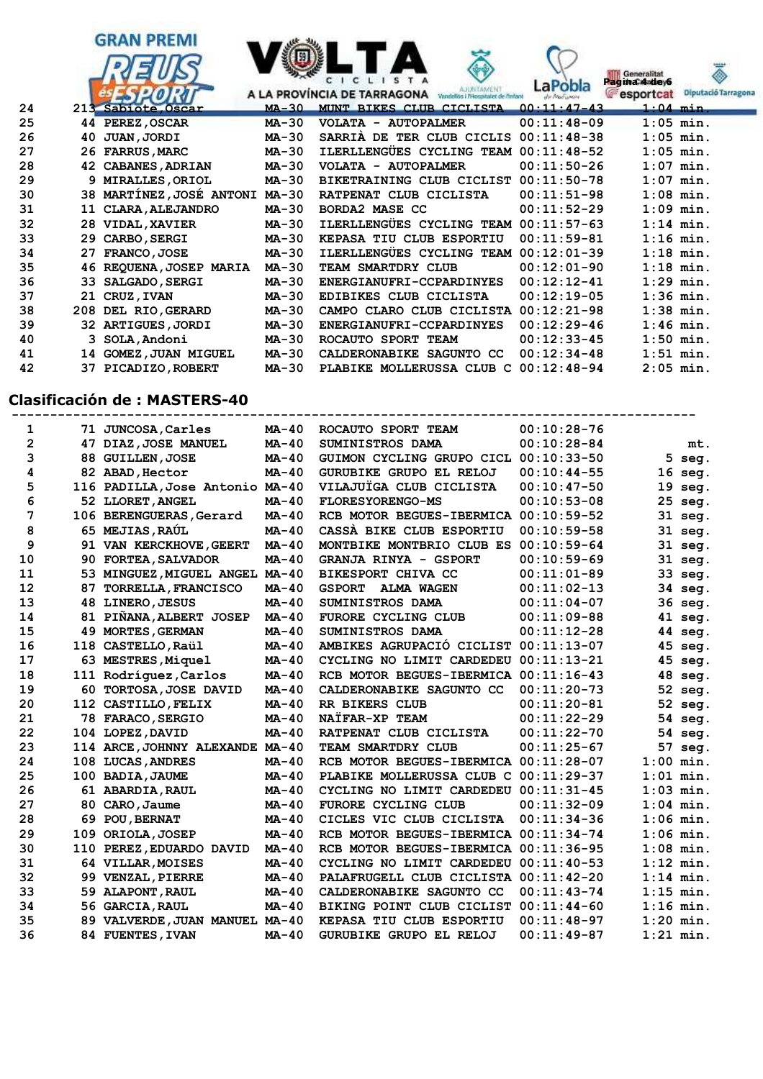



### **Clasificación de : MASTERS-40**

| 1            |     | 71 JUNCOSA, Carles              | $MA-40$      | ROCAUTO SPORT TEAM                    | $00:10:28-76$ |    |             |
|--------------|-----|---------------------------------|--------------|---------------------------------------|---------------|----|-------------|
| $\mathbf{2}$ |     | 47 DIAZ, JOSE MANUEL            | $MA-40$      | SUMINISTROS DAMA                      | $00:10:28-84$ |    | mt.         |
| 3            |     | 88 GUILLEN, JOSE                | $MA-40$      | GUIMON CYCLING GRUPO CICL 00:10:33-50 |               |    | $5$ seg.    |
| 4            |     | 82 ABAD, Hector                 | $MA-40$      | GURUBIKE GRUPO EL RELOJ               | $00:10:44-55$ |    | 16 seg.     |
| 5            |     | 116 PADILLA, Jose Antonio MA-40 |              | VILAJUÏGA CLUB CICLISTA               | $00:10:47-50$ |    | 19 seg.     |
| 6            |     | 52 LLORET, ANGEL                | $MA-40$      | <b>FLORESYORENGO-MS</b>               | $00:10:53-08$ |    | 25 seg.     |
| 7            |     | 106 BERENGUERAS, Gerard         | $MA-40$      | RCB MOTOR BEGUES-IBERMICA 00:10:59-52 |               |    | 31 seg.     |
| 8            |     | 65 MEJIAS, RAUL                 | $MA-40$      | CASSA BIKE CLUB ESPORTIU              | $00:10:59-58$ |    | 31 seg.     |
| 9            |     | 91 VAN KERCKHOVE, GEERT         | $MA-40$      | MONTBIKE MONTBRIO CLUB ES 00:10:59-64 |               |    | 31 seg.     |
| 10           |     | 90 FORTEA, SALVADOR             | $MA-40$      | GRANJA RINYA - GSPORT                 | $00:10:59-69$ |    | 31 seg.     |
| 11           |     | 53 MINGUEZ, MIGUEL ANGEL        | $MA-40$      | BIKESPORT CHIVA CC                    | $00:11:01-89$ |    | 33 seg.     |
| 12           | 87  | <b>TORRELLA, FRANCISCO</b>      | MA-40        | <b>GSPORT</b><br><b>ALMA WAGEN</b>    | $00:11:02-13$ |    | 34 seg.     |
| 13           |     | 48 LINERO, JESUS                | $MA-40$      | SUMINISTROS DAMA                      | $00:11:04-07$ |    | 36 seg.     |
| 14           | 81  | PIÑANA, ALBERT JOSEP            | $MA-40$      | <b>FURORE CYCLING CLUB</b>            | $00:11:09-88$ |    | 41 seg.     |
| 15           |     | 49 MORTES, GERMAN               | $MA-40$      | SUMINISTROS DAMA                      | $00:11:12-28$ |    | 44 seg.     |
| 16           |     | 118 CASTELLO, Raül              | $MA-40$      | AMBIKES AGRUPACIO CICLIST 00:11:13-07 |               |    | 45 seg.     |
| 17           |     | 63 MESTRES, Miquel              | $MA-40$      | CYCLING NO LIMIT CARDEDEU 00:11:13-21 |               |    | 45 seg.     |
| 18           |     | 111 Rodríguez, Carlos           | $MA-40$      | RCB MOTOR BEGUES-IBERMICA 00:11:16-43 |               |    | 48 seg.     |
| 19           |     | 60 TORTOSA, JOSE DAVID          | $MA-40$      | CALDERONABIKE SAGUNTO CC              | $00:11:20-73$ |    | 52 seg.     |
| 20           |     | 112 CASTILLO, FELIX             | $MA-40$      | RR BIKERS CLUB                        | $00:11:20-81$ |    | 52 seg.     |
| 21           |     | 78 FARACO, SERGIO               | $MA-40$      | NAÏFAR-XP TEAM                        | $00:11:22-29$ |    | 54 seg.     |
| 22           |     | 104 LOPEZ, DAVID                | $MA-40$      | RATPENAT CLUB CICLISTA                | $00:11:22-70$ |    | 54 seg.     |
| 23           |     | 114 ARCE, JOHNNY ALEXANDE MA-40 |              | TEAM SMARTDRY CLUB                    | $00:11:25-67$ | 57 | seq.        |
| 24           |     | 108 LUCAS, ANDRES               | $MA-40$      | RCB MOTOR BEGUES-IBERMICA 00:11:28-07 |               |    | $1:00$ min. |
| 25           |     | 100 BADIA, JAUME                | $MA-40$      | PLABIKE MOLLERUSSA CLUB C             | $00:11:29-37$ |    | $1:01$ min. |
| 26           |     | 61 ABARDIA, RAUL                | $MA-40$      | CYCLING NO LIMIT CARDEDEU 00:11:31-45 |               |    | $1:03$ min. |
| 27           |     | 80 CARO, Jaume                  | $MA-40$      | <b>FURORE CYCLING CLUB</b>            | $00:11:32-09$ |    | $1:04$ min. |
| 28           |     | 69 POU, BERNAT                  | $MA-40$      | CICLES VIC CLUB CICLISTA              | $00:11:34-36$ |    | $1:06$ min. |
| 29           |     | 109 ORIOLA, JOSEP               | $MA-40$      | RCB MOTOR BEGUES-IBERMICA 00:11:34-74 |               |    | $1:06$ min. |
| 30           | 110 | PEREZ, EDUARDO DAVID            | <b>MA-40</b> | RCB MOTOR BEGUES-IBERMICA 00:11:36-95 |               |    | $1:08$ min. |
| 31           |     | 64 VILLAR, MOISES               | $MA-40$      | CYCLING NO LIMIT CARDEDEU             | $00:11:40-53$ |    | $1:12$ min. |
| 32           |     | 99 VENZAL, PIERRE               | $MA-40$      | PALAFRUGELL CLUB CICLISTA 00:11:42-20 |               |    | $1:14$ min. |
| 33           |     | 59 ALAPONT, RAUL                | MA-40        | CALDERONABIKE SAGUNTO CC              | $00:11:43-74$ |    | $1:15$ min. |
| 34           |     | 56 GARCIA, RAUL                 | $MA-40$      | BIKING POINT CLUB CICLIST 00:11:44-60 |               |    | $1:16$ min. |
| 35           |     | 89 VALVERDE, JUAN MANUEL MA-40  |              | KEPASA TIU CLUB ESPORTIU              | $00:11:48-97$ |    | $1:20$ min. |
| 36           |     | 84 FUENTES, IVAN                | $MA-40$      | GURUBIKE GRUPO EL RELOJ               | $00:11:49-87$ |    | $1:21$ min. |

 **42 37 PICADIZO,ROBERT MA-30 PLABIKE MOLLERUSSA CLUB C 00:12:48-94 2:05 min.**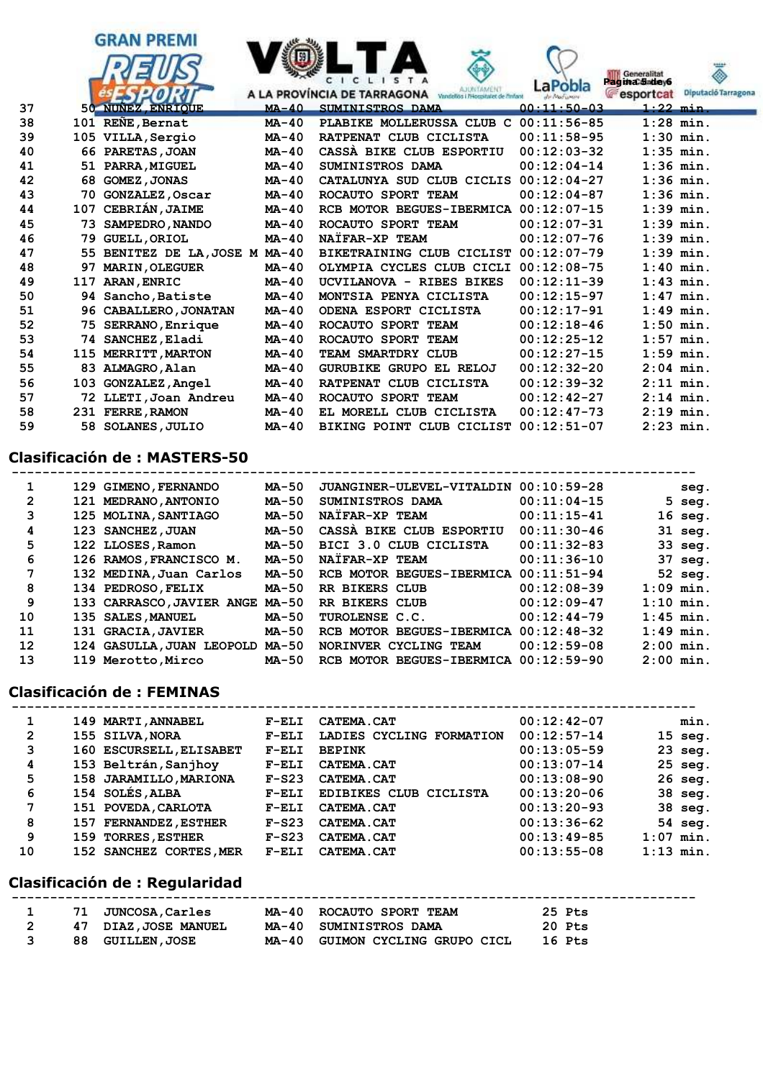

## **Clasificación de : MASTERS-50**

| 1                 | 129 GIMENO, FERNANDO            | MA-50        | JUANGINER-ULEVEL-VITALDIN             | $00:10:59-28$ | seg.              |
|-------------------|---------------------------------|--------------|---------------------------------------|---------------|-------------------|
| $\overline{2}$    | 121 MEDRANO, ANTONIO            | MA-50        | SUMINISTROS DAMA                      | $00:11:04-15$ | $5$ seq.          |
| 3                 | 125 MOLINA, SANTIAGO            | <b>MA-50</b> | NATFAR-XP TEAM                        | $00:11:15-41$ | $16$ seg.         |
| 4                 | 123 SANCHEZ, JUAN               | <b>MA-50</b> | CASSA BIKE CLUB ESPORTIU              | $00:11:30-46$ | 31 seg.           |
| 5                 | 122 LLOSES, Ramon               | <b>MA-50</b> | BICI 3.0 CLUB CICLISTA                | $00:11:32-83$ | 33 seg.           |
| 6                 | 126 RAMOS, FRANCISCO M.         | MA-50        | NATFAR-XP TEAM                        | $00:11:36-10$ | $37 \text{ seq.}$ |
| 7                 | 132 MEDINA, Juan Carlos         | MA-50        | RCB MOTOR BEGUES-IBERMICA 00:11:51-94 |               | 52 seg.           |
| 8                 | 134 PEDROSO, FELIX              | MA-50        | RR BIKERS CLUB                        | $00:12:08-39$ | $1:09$ min.       |
| 9                 | 133 CARRASCO, JAVIER ANGE MA-50 |              | RR BIKERS CLUB                        | $00:12:09-47$ | $1:10$ min.       |
| 10                | 135 SALES, MANUEL               | MA-50        | TUROLENSE C.C.                        | $00:12:44-79$ | $1:45$ min.       |
| 11                | 131 GRACIA, JAVIER              | MA-50        | RCB MOTOR BEGUES-IBERMICA 00:12:48-32 |               | $1:49$ min.       |
| $12 \overline{ }$ | 124 GASULLA, JUAN LEOPOLD MA-50 |              | NORINVER CYCLING TEAM                 | $00:12:59-08$ | $2:00$ min.       |
| 13                | 119 Merotto, Mirco              | <b>MA-50</b> | RCB MOTOR BEGUES-IBERMICA             | $00:12:59-90$ | $2:00$ min.       |

#### **Clasificación de : FEMINAS**

| 1              | 149 MARTI, ANNABEL      | $F-ELI$ | <b>CATEMA.CAT</b>             | $00:12:42-07$ | min.              |
|----------------|-------------------------|---------|-------------------------------|---------------|-------------------|
| $\overline{2}$ | 155 SILVA, NORA         | $F-ELI$ | LADIES CYCLING FORMATION      | $00:12:57-14$ | $15 \text{ seq.}$ |
| 3              | 160 ESCURSELL, ELISABET | $F-ELI$ | <b>BEPINK</b>                 | $00:13:05-59$ | $23$ seg.         |
| 4              | 153 Beltrán, Sanjhoy    | $F-ELI$ | <b>CATEMA.CAT</b>             | $00:13:07-14$ | $25$ seg.         |
| 5              | 158 JARAMILLO, MARIONA  | $F-S23$ | <b>CATEMA.CAT</b>             | $00:13:08-90$ | $26$ seq.         |
| 6              | 154 SOLÉS, ALBA         | $F-ELI$ | <b>EDIBIKES CLUB CICLISTA</b> | $00:13:20-06$ | 38 seg.           |
| 7              | 151 POVEDA, CARLOTA     | $F-ELI$ | <b>CATEMA.CAT</b>             | $00:13:20-93$ | 38 seg.           |
| 8              | 157 FERNANDEZ, ESTHER   | $F-S23$ | <b>CATEMA.CAT</b>             | $00:13:36-62$ | 54 seg.           |
| 9              | 159 TORRES, ESTHER      | $F-S23$ | <b>CATEMA.CAT</b>             | $00:13:49-85$ | $1:07$ min.       |
| 10             | 152 SANCHEZ CORTES, MER | $F-ELI$ | <b>CATEMA.CAT</b>             | $00:13:55-08$ | $1:13$ min.       |
|                |                         |         |                               |               |                   |

 **-----------------------------------------------------------------------------------------**

 **-----------------------------------------------------------------------------------------**

#### **Clasificación de : Regularidad**

|  | 71 JUNCOSA, Carles      | MA-40 ROCAUTO SPORT TEAM        | 25 Pts |
|--|-------------------------|---------------------------------|--------|
|  | 47 DIAZ, JOSE MANUEL    | MA-40 SUMINISTROS DAMA          | 20 Pts |
|  | <b>88 GUILLEN, JOSE</b> | MA-40 GUIMON CYCLING GRUPO CICL | 16 Pts |